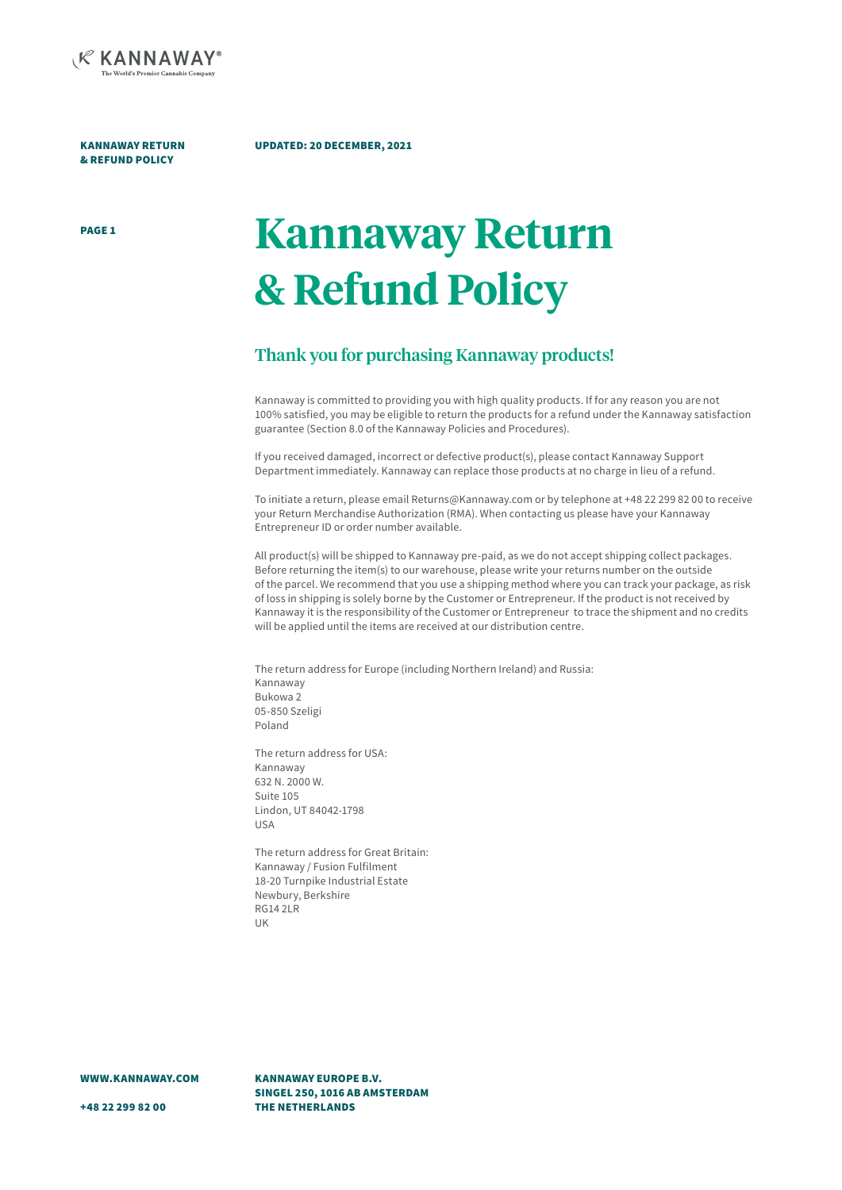

KANNAWAY RETURN & REFUND POLICY

#### UPDATED: 20 DECEMBER, 2021

# PAGE 1 **Kannaway Return & Refund Policy**

## Thank you for purchasing Kannaway products!

Kannaway is committed to providing you with high quality products. If for any reason you are not 100% satisfied, you may be eligible to return the products for a refund under the Kannaway satisfaction guarantee (Section 8.0 of the Kannaway Policies and Procedures).

If you received damaged, incorrect or defective product(s), please contact Kannaway Support Department immediately. Kannaway can replace those products at no charge in lieu of a refund.

To initiate a return, please email Returns@Kannaway.com or by telephone at +48 22 299 82 00 to receive your Return Merchandise Authorization (RMA). When contacting us please have your Kannaway Entrepreneur ID or order number available.

All product(s) will be shipped to Kannaway pre-paid, as we do not accept shipping collect packages. Before returning the item(s) to our warehouse, please write your returns number on the outside of the parcel. We recommend that you use a shipping method where you can track your package, as risk of loss in shipping is solely borne by the Customer or Entrepreneur. If the product is not received by Kannaway it is the responsibility of the Customer or Entrepreneur to trace the shipment and no credits will be applied until the items are received at our distribution centre.

The return address for Europe (including Northern Ireland) and Russia: Kannaway Bukowa 2 05-850 Szeligi Poland

The return address for USA: Kannaway 632 N. 2000 W. Suite 105 Lindon, UT 84042-1798 USA

The return address for Great Britain: Kannaway / Fusion Fulfilment 18-20 Turnpike Industrial Estate Newbury, Berkshire RG14 2LR UK

WWW.KANNAWAY.COM

KANNAWAY EUROPE B.V. SINGEL 250, 1016 AB AMSTERDAM THE NETHERLANDS

+48 22 299 82 00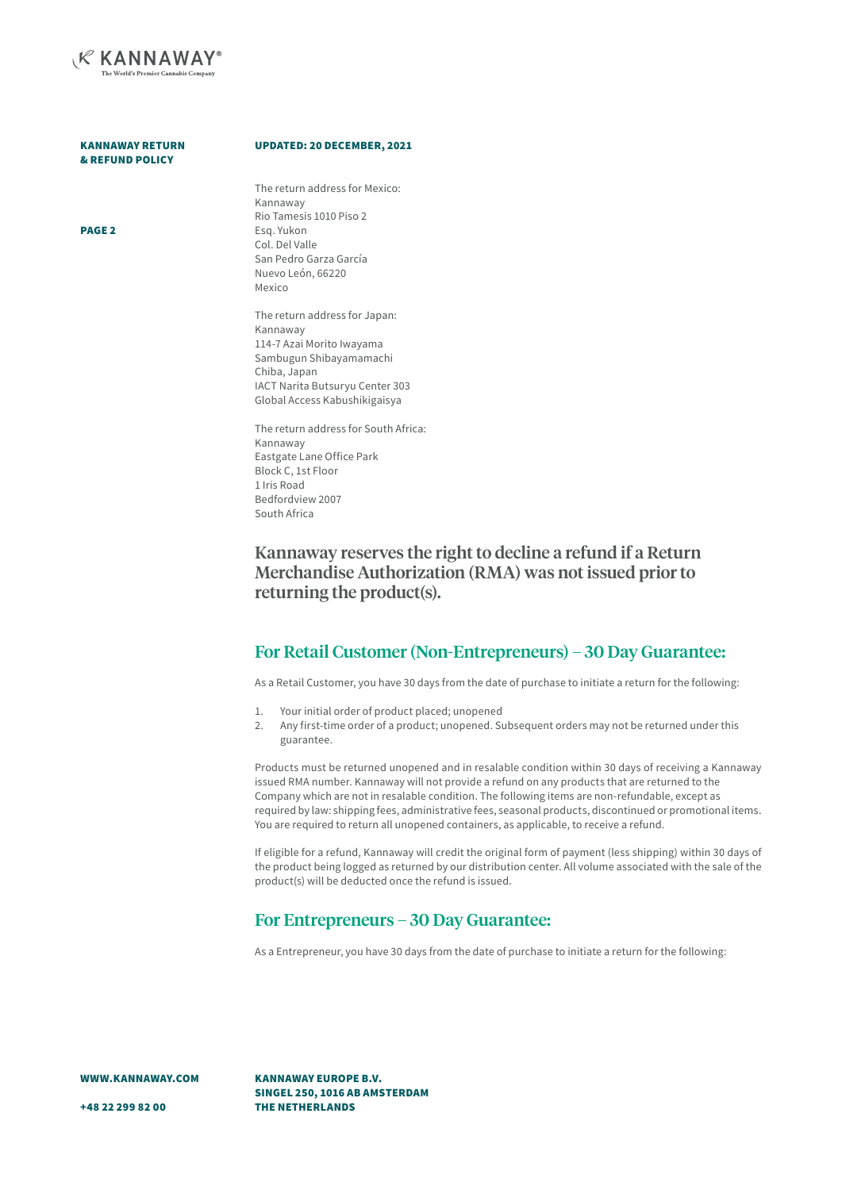

| <b>KANNAWAY RETURN</b> |  |
|------------------------|--|
| & REFUND POLICY        |  |

PAGE 2

#### UPDATED: 20 DECEMBER, 2021

The return address for Mexico: Kannaway Rio Tamesis 1010 Piso 2 Esq. Yukon Col. Del Valle San Pedro Garza García Nuevo León, 66220 Mexico

The return address for Japan: Kannaway 114-7 Azai Morito Iwayama Sambugun Shibayamamachi Chiba, Japan IACT Narita Butsuryu Center 303 Global Access Kabushikigaisya

The return address for South Africa: Kannaway Eastgate Lane Office Park Block C, 1st Floor 1 Iris Road Bedfordview 2007 South Africa

Kannaway reserves the right to decline a refund if a Return Merchandise Authorization (RMA) was not issued prior to returning the product(s).

## For Retail Customer (Non-Entrepreneurs) – 30 Day Guarantee:

As a Retail Customer, you have 30 days from the date of purchase to initiate a return for the following:

- 1. Your initial order of product placed; unopened
- 2. Any first-time order of a product; unopened. Subsequent orders may not be returned under this guarantee.

Products must be returned unopened and in resalable condition within 30 days of receiving a Kannaway issued RMA number. Kannaway will not provide a refund on any products that are returned to the Company which are not in resalable condition. The following items are non-refundable, except as required by law: shipping fees, administrative fees, seasonal products, discontinued or promotional items. You are required to return all unopened containers, as applicable, to receive a refund.

If eligible for a refund, Kannaway will credit the original form of payment (less shipping) within 30 days of the product being logged as returned by our distribution center. All volume associated with the sale of the product(s) will be deducted once the refund is issued.

## For Entrepreneurs – 30 Day Guarantee:

As a Entrepreneur, you have 30 days from the date of purchase to initiate a return for the following:

WWW.KANNAWAY.COM

KANNAWAY EUROPE B.V. SINGEL 250, 1016 AB AMSTERDAM THE NETHERLANDS

+48 22 299 82 00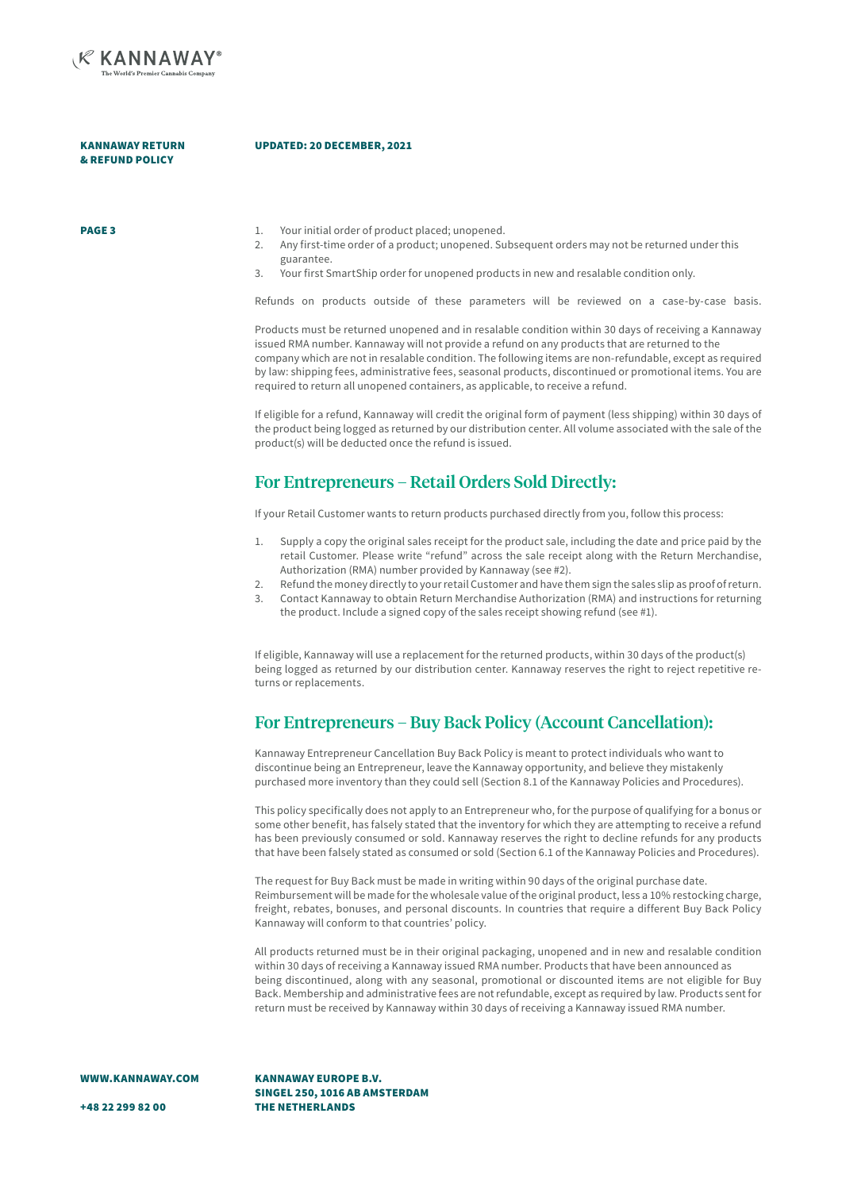

KANNAWAY RETURN & REFUND POLICY

#### UPDATED: 20 DECEMBER, 2021

PAGE 3

- 1. Your initial order of product placed; unopened.
- 2. Any first-time order of a product; unopened. Subsequent orders may not be returned under this guarantee.
- 3. Your first SmartShip order for unopened products in new and resalable condition only.

Refunds on products outside of these parameters will be reviewed on a case-by-case basis.

Products must be returned unopened and in resalable condition within 30 days of receiving a Kannaway issued RMA number. Kannaway will not provide a refund on any products that are returned to the company which are not in resalable condition. The following items are non-refundable, except as required by law: shipping fees, administrative fees, seasonal products, discontinued or promotional items. You are required to return all unopened containers, as applicable, to receive a refund.

If eligible for a refund, Kannaway will credit the original form of payment (less shipping) within 30 days of the product being logged as returned by our distribution center. All volume associated with the sale of the product(s) will be deducted once the refund is issued.

## For Entrepreneurs – Retail Orders Sold Directly:

If your Retail Customer wants to return products purchased directly from you, follow this process:

- 1. Supply a copy the original sales receipt for the product sale, including the date and price paid by the retail Customer. Please write "refund" across the sale receipt along with the Return Merchandise, Authorization (RMA) number provided by Kannaway (see #2).
- 2. Refund the money directly to your retail Customer and have them sign the sales slip as proof of return. 3. Contact Kannaway to obtain Return Merchandise Authorization (RMA) and instructions for returning the product. Include a signed copy of the sales receipt showing refund (see #1).

If eligible, Kannaway will use a replacement for the returned products, within 30 days of the product(s) being logged as returned by our distribution center. Kannaway reserves the right to reject repetitive returns or replacements.

## For Entrepreneurs – Buy Back Policy (Account Cancellation):

Kannaway Entrepreneur Cancellation Buy Back Policy is meant to protect individuals who want to discontinue being an Entrepreneur, leave the Kannaway opportunity, and believe they mistakenly purchased more inventory than they could sell (Section 8.1 of the Kannaway Policies and Procedures).

This policy specifically does not apply to an Entrepreneur who, for the purpose of qualifying for a bonus or some other benefit, has falsely stated that the inventory for which they are attempting to receive a refund has been previously consumed or sold. Kannaway reserves the right to decline refunds for any products that have been falsely stated as consumed or sold (Section 6.1 of the Kannaway Policies and Procedures).

The request for Buy Back must be made in writing within 90 days of the original purchase date. Reimbursement will be made for the wholesale value of the original product, less a 10% restocking charge, freight, rebates, bonuses, and personal discounts. In countries that require a different Buy Back Policy Kannaway will conform to that countries' policy.

All products returned must be in their original packaging, unopened and in new and resalable condition within 30 days of receiving a Kannaway issued RMA number. Products that have been announced as being discontinued, along with any seasonal, promotional or discounted items are not eligible for Buy Back. Membership and administrative fees are not refundable, except as required by law. Products sent for return must be received by Kannaway within 30 days of receiving a Kannaway issued RMA number.

WWW.KANNAWAY.COM

KANNAWAY EUROPE B.V. SINGEL 250, 1016 AB AMSTERDAM THE NETHERLANDS

+48 22 299 82 00